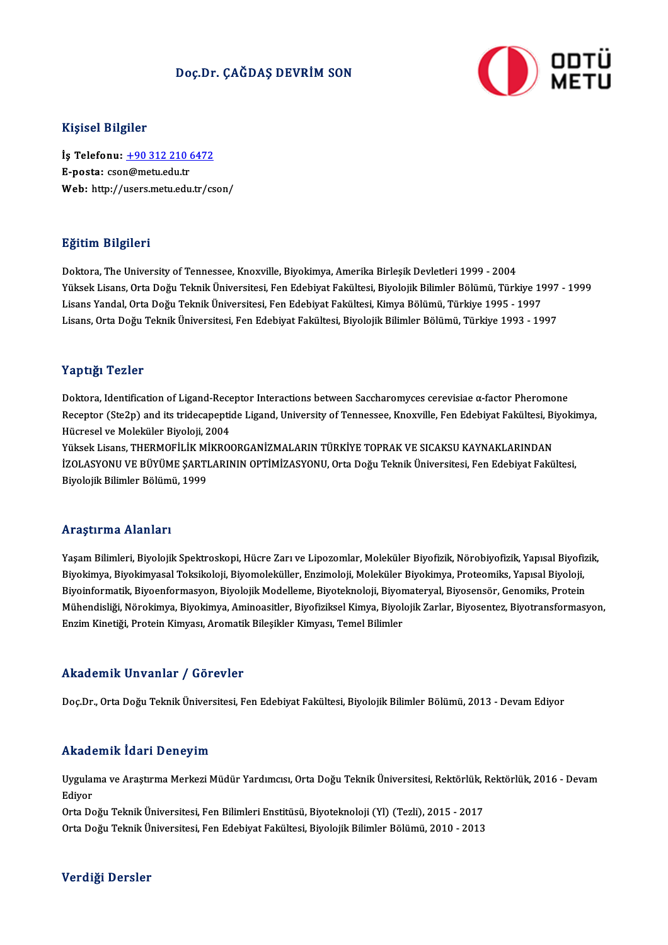# Doç.Dr. CAĞDAŞ DEVRİM SON



## Kişisel Bilgiler

Kişisel Bilgiler<br>İş Telefonu: <u>+90 312 210 6472</u><br>E nosta: ssan@matu.edu.tr 11191001<br>**E-posta:** cso[n@metu.edu.tr](tel:+90 312 210 6472)<br>E-posta: cson@metu.edu.tr E-posta: cson@metu.edu.tr<br>Web: http://users.metu.edu.tr/cson/

## Eğitim Bilgileri

Doktora, The University of Tennessee, Knoxville, Biyokimya, Amerika Birleşik Devletleri 1999 - 2004 25.0000 2015.0000<br>Doktora, The University of Tennessee, Knoxville, Biyokimya, Amerika Birleşik Devletleri 1999 - 2004<br>Yüksek Lisans, Orta Doğu Teknik Üniversitesi, Fen Edebiyat Fakültesi, Biyolojik Bilimler Bölümü, Türkiye Doktora, The University of Tennessee, Knoxville, Biyokimya, Amerika Birleşik Devletleri 1999 - 2004<br>Yüksek Lisans, Orta Doğu Teknik Üniversitesi, Fen Edebiyat Fakültesi, Biyolojik Bilimler Bölümü, Türkiye 19<br>Lisans Yandal, Yüksek Lisans, Orta Doğu Teknik Üniversitesi, Fen Edebiyat Fakültesi, Biyolojik Bilimler Bölümü, Türkiye 1997<br>Lisans Yandal, Orta Doğu Teknik Üniversitesi, Fen Edebiyat Fakültesi, Kimya Bölümü, Türkiye 1995 - 1997<br>Lisans, Lisans, Orta Doğu Teknik Üniversitesi, Fen Edebiyat Fakültesi, Biyolojik Bilimler Bölümü, Türkiye 1993 - 1997<br>Yaptığı Tezler

**Yaptığı Tezler**<br>Doktora, Identification of Ligand-Receptor Interactions between Saccharomyces cerevisiae α-factor Pheromone<br>Beceptor (Sta?n) and its tridecepentide Ligand University of Tennessee Knewrille Fen Edebiyat Fe x ap esge included.<br>Doktora, Identification of Ligand-Receptor Interactions between Saccharomyces cerevisiae α-factor Pheromone<br>Receptor (Ste2p) and its tridecapeptide Ligand, University of Tennessee, Knoxville, Fen Edebi Doktora, Identification of Ligand-Rece<br>Receptor (Ste2p) and its tridecapeptic<br>Hücresel ve Moleküler Biyoloji, 2004<br>Vülgek Lisans, THEPMOEU İK MİKPO Receptor (Ste2p) and its tridecapeptide Ligand, University of Tennessee, Knoxville, Fen Edebiyat Fakültesi, Bi<br>Hücresel ve Moleküler Biyoloji, 2004<br>Yüksek Lisans, THERMOFİLİK MİKROORGANİZMALARIN TÜRKİYE TOPRAK VE SICAKSU K

Hücresel ve Moleküler Biyoloji, 2004<br>Yüksek Lisans, THERMOFİLİK MİKROORGANİZMALARIN TÜRKİYE TOPRAK VE SICAKSU KAYNAKLARINDAN<br>İZOLASYONU VE BÜYÜME ŞARTLARININ OPTİMİZASYONU, Orta Doğu Teknik Üniversitesi, Fen Edebiyat Fakül Yüksek Lisans, THERMOFİLİK Mİ<br>İZOLASYONU VE BÜYÜME ŞARTI<br>Biyolojik Bilimler Bölümü, 1999 Biyolojik Bilimler Bölümü, 1999<br>Araştırma Alanları

Araştırma Alanları<br>Yaşam Bilimleri, Biyolojik Spektroskopi, Hücre Zarı ve Lipozomlar, Moleküler Biyofizik, Nörobiyofizik, Yapısal Biyofizik,<br>Biyokimya Biyokimyasal Taksikoloji, Biyomoloküller, Enzimoloji, Moleküler Biyokim rrruyen mu rrummarr<br>Yaşam Bilimleri, Biyolojik Spektroskopi, Hücre Zarı ve Lipozomlar, Moleküler Biyofizik, Nörobiyofizik, Yapısal Biyofi:<br>Biyokimya, Biyokimyasal Toksikoloji, Biyomoleküller, Enzimoloji, Moleküler Biyokimy Yaşam Bilimleri, Biyolojik Spektroskopi, Hücre Zarı ve Lipozomlar, Moleküler Biyofizik, Nörobiyofizik, Yapısal Biyofiz<br>Biyokimya, Biyokimyasal Toksikoloji, Biyomoleküller, Enzimoloji, Moleküler Biyokimya, Proteomiks, Yapıs Biyokimya, Biyokimyasal Toksikoloji, Biyomoleküller, Enzimoloji, Moleküler Biyokimya, Proteomiks, Yapısal Biyoloji,<br>Biyoinformatik, Biyoenformasyon, Biyolojik Modelleme, Biyoteknoloji, Biyomateryal, Biyosensör, Genomiks, P Biyoinformatik, Biyoenformasyon, Biyolojik Modelleme, Biyoteknoloji, Biyor<br>Mühendisliği, Nörokimya, Biyokimya, Aminoasitler, Biyofiziksel Kimya, Biyol<br>Enzim Kinetiği, Protein Kimyası, Aromatik Bileşikler Kimyası, Temel Bil Enzim Kinetiği, Protein Kimyası, Aromatik Bileşikler Kimyası, Temel Bilimler<br>Akademik Unvanlar / Görevler

Doç.Dr., Orta Doğu Teknik Üniversitesi, Fen Edebiyat Fakültesi, Biyolojik Bilimler Bölümü, 2013 - Devam Ediyor

# Akademik İdari Deneyim

**Akademik İdari Deneyim**<br>Uygulama ve Araştırma Merkezi Müdür Yardımcısı, Orta Doğu Teknik Üniversitesi, Rektörlük, Rektörlük, 2016 - Devam<br>Ediyor Innaa<br>Uygular<br>Ediyor<br>Orta De Uygulama ve Araştırma Merkezi Müdür Yardımcısı, Orta Doğu Teknik Üniversitesi, Rektörlük, I<br>Ediyor<br>Orta Doğu Teknik Üniversitesi, Fen Bilimleri Enstitüsü, Biyoteknoloji (Yl) (Tezli), 2015 - 2017<br>Orta Doğu Teknik Üniversite

Ediyor<br>Orta Doğu Teknik Üniversitesi, Fen Bilimleri Enstitüsü, Biyoteknoloji (Yl) (Tezli), 2015 - 2017<br>Orta Doğu Teknik Üniversitesi, Fen Edebiyat Fakültesi, Biyolojik Bilimler Bölümü, 2010 - 2013

# Verdiği Dersler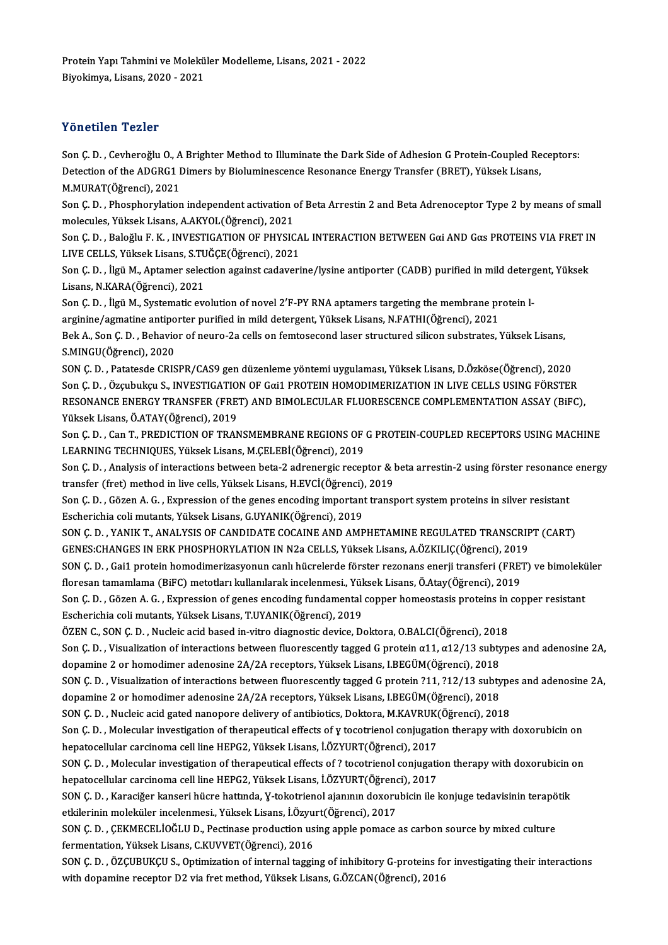Protein Yapı Tahmini ve Moleküler Modelleme, Lisans, 2021 - 2022<br>Pivoltimya Lisans, 2020, 2021 Protein Yapı Tahmini ve Molekü<br>Biyokimya, Lisans, 2020 - 2021 Biyokimya, Lisans, 2020 - 2021<br>Yönetilen Tezler

Yönetilen Tezler<br>Son Ç. D. , Cevheroğlu O., A Brighter Method to Illuminate the Dark Side of Adhesion G Protein-Coupled Receptors:<br>Petestian of the ADCPC1 Dimers by Bioluminessense Besenance Energy Transfor (BBET), Vülsek TONOENON TONON<br>Son Ç. D. , Cevheroğlu O., A Brighter Method to Illuminate the Dark Side of Adhesion G Protein-Coupled Re<br>Detection of the ADGRG1 Dimers by Bioluminescence Resonance Energy Transfer (BRET), Yüksek Lisans,<br>M Son Ç. D. , Cevheroğlu O., A<br>Detection of the ADGRG1 I<br>M.MURAT(Öğrenci), 2021<br>Son G. D. – Phespherulation Detection of the ADGRG1 Dimers by Bioluminescence Resonance Energy Transfer (BRET), Yüksek Lisans,<br>M.MURAT(Öğrenci), 2021<br>Son C. D. , Phosphorylation independent activation of Beta Arrestin 2 and Beta Adrenoceptor Type 2 b

molecules,YüksekLisans,A.AKYOL(Öğrenci),2021 Son Ç. D. , Phosphorylation independent activation of Beta Arrestin 2 and Beta Adrenoceptor Type 2 by means of small<br>molecules, Yüksek Lisans, A.ΑΚΥΟL(Öğrenci), 2021<br>Son Ç. D. , Baloğlu F. K. , INVESTIGATION OF PHYSICAL I

molecules, Yüksek Lisans, A.AKYOL(Öğrenci), 2021<br>Son Ç. D. , Baloğlu F. K. , INVESTIGATION OF PHYSICA<br>LIVE CELLS, Yüksek Lisans, S.TUĞÇE(Öğrenci), 2021<br>Son G. D. , İlgü M. Antamar selestion asalını sadayori Son Ç. D. , Baloğlu F. K. , INVESTIGATION OF PHYSICAL INTERACTION BETWEEN Gαi AND Gαs PROTEINS VIA FRET II<br>LIVE CELLS, Yüksek Lisans, S.TUĞÇE(Öğrenci), 2021<br>Son Ç. D. , İlgü M., Aptamer selection against cadaverine/lysine

LIVE CELLS, Yüksek Lisans, S.TUĞÇE(Öğrenci), 2021<br>Son Ç. D. , İlgü M., Aptamer selection against cadaver<br>Lisans, N.KARA(Öğrenci), 2021 Son Ç. D. , İlgü M., Aptamer selection against cadaverine/lysine antiporter (CADB) purified in mild detergent, Yüksek<br>Lisans, N.KARA(Öğrenci), 2021<br>Son Ç. D. , İlgü M., Systematic evolution of novel 2'F-PY RNA aptamers tar

Son Ç. D., İlgü M., Systematic evolution of novel 2'F-PY RNA aptamers targeting the membrane protein l-Son Ç. D. , İlgü M., Systematic evolution of novel 2'F-PY RNA aptamers targeting the membrane protein l-<br>arginine/agmatine antiporter purified in mild detergent, Yüksek Lisans, N.FATHI(Öğrenci), 2021<br>Bek A., Son Ç. D. , Be

arginine/agmatine antipo<br>Bek A., Son Ç. D. , Behavio<br>S.MINGU(Öğrenci), 2020<br>SON G. D. , Betateede GRIS Bek A., Son Ç. D. , Behavior of neuro-2a cells on femtosecond laser structured silicon substrates, Yüksek Lisans,<br>S.MINGU(Öğrenci), 2020<br>SON Ç. D. , Patatesde CRISPR/CAS9 gen düzenleme yöntemi uygulaması, Yüksek Lisans, D.

S.MINGU(Öğrenci), 2020<br>SON Ç. D. , Patatesde CRISPR/CAS9 gen düzenleme yöntemi uygulaması, Yüksek Lisans, D.Özköse(Öğrenci), 2020<br>Son Ç. D. , Özçubukçu S., INVESTIGATION OF Gαi1 PROTEIN HOMODIMERIZATION IN LIVE CELLS USING SON Ç. D. , Patatesde CRISPR/CAS9 gen düzenleme yöntemi uygulaması, Yüksek Lisans, D.Özköse(Öğrenci), 2020<br>Son Ç. D. , Özçubukçu S., INVESTIGATION OF Gαi1 PROTEIN HOMODIMERIZATION IN LIVE CELLS USING FÖRSTER<br>RESONANCE ENE Son Ç. D. , Özçubukçu S., INVESTIGATIO<br>RESONANCE ENERGY TRANSFER (FRE<br>Yüksek Lisans, Ö.ATAY(Öğrenci), 2019<br>Son G. D. Gon T. BREDICTION OF TRAN RESONANCE ENERGY TRANSFER (FRET) AND BIMOLECULAR FLUORESCENCE COMPLEMENTATION ASSAY (BiFC),<br>Yüksek Lisans, Ö.ATAY(Öğrenci), 2019<br>Son Ç. D. , Can T., PREDICTION OF TRANSMEMBRANE REGIONS OF G PROTEIN-COUPLED RECEPTORS USING

Yüksek Lisans, Ö.ATAY(Öğrenci), 2019<br>Son Ç. D. , Can T., PREDICTION OF TRANSMEMBRANE REGIONS OF G PROTEIN-COUPLED RECEPTORS USING MACHINE<br>LEARNING TECHNIQUES, Yüksek Lisans, M.ÇELEBİ(Öğrenci), 2019 Son Ç. D. , Can T., PREDICTION OF TRANSMEMBRANE REGIONS OF G PROTEIN-COUPLED RECEPTORS USING MACHINE<br>LEARNING TECHNIQUES, Yüksek Lisans, M.ÇELEBİ(Öğrenci), 2019<br>Son Ç. D. , Analysis of interactions between beta-2 adrenergi

LEARNING TECHNIQUES, Yüksek Lisans, M.ÇELEBİ(Öğrenci), 2019<br>Son Ç. D. , Analysis of interactions between beta-2 adrenergic receptor & l<br>transfer (fret) method in live cells, Yüksek Lisans, H.EVCİ(Öğrenci), 2019<br>Son G. D., Son Ç. D. , Analysis of interactions between beta-2 adrenergic receptor & beta arrestin-2 using förster resonance<br>transfer (fret) method in live cells, Yüksek Lisans, H.EVCİ(Öğrenci), 2019<br>Son Ç. D. , Gözen A. G. , Express

transfer (fret) method in live cells, Yüksek Lisans, H.EVCİ(Öğrenci),<br>Son Ç. D. , Gözen A. G. , Expression of the genes encoding important<br>Escherichia coli mutants, Yüksek Lisans, G.UYANIK(Öğrenci), 2019<br>SON G. D., YANIK T Son Ç. D. , Gözen A. G. , Expression of the genes encoding important transport system proteins in silver resistant<br>Escherichia coli mutants, Yüksek Lisans, G.UYANIK(Öğrenci), 2019<br>SON Ç. D. , YANIK T., ANALYSIS OF CANDIDAT

Escherichia coli mutants, Yüksek Lisans, G.UYANIK(Öğrenci), 2019<br>SON Ç. D. , YANIK T., ANALYSIS OF CANDIDATE COCAINE AND AMPHETAMINE REGULATED TRANSCRIF<br>GENES:CHANGES IN ERK PHOSPHORYLATION IN N2a CELLS, Yüksek Lisans, A.Ö SON Ç. D. , YANIK T., ANALYSIS OF CANDIDATE COCAINE AND AMPHETAMINE REGULATED TRANSCRIPT (CART)<br>GENES:CHANGES IN ERK PHOSPHORYLATION IN N2a CELLS, Yüksek Lisans, A.ÖZKILIÇ(Öğrenci), 2019<br>SON Ç. D. , Gai1 protein homodimeri

GENES:CHANGES IN ERK PHOSPHORYLATION IN N2a CELLS, Yüksek Lisans, A.ÖZKILIÇ(Öğrenci), 2019<br>SON Ç. D. , Gai1 protein homodimerizasyonun canlı hücrelerde förster rezonans enerji transferi (FRET) ve bimolekü<br>floresan tamamlam SON Ç. D. , Gai1 protein homodimerizasyonun canlı hücrelerde förster rezonans enerji transferi (FRET) ve bimoleküler<br>floresan tamamlama (BiFC) metotları kullanılarak incelenmesi., Yüksek Lisans, Ö.Atay(Öğrenci), 2019<br>Son Ç floresan tamamlama (BiFC) metotları kullanılarak incelenmesi., Yüksek Lisans, Ö.Atay(Öğrenci), 2019

Son Ç. D. , Gözen A. G. , Expression of genes encoding fundamental copper homeostasis proteins in<br>Escherichia coli mutants, Yüksek Lisans, T.UYANIK(Öğrenci), 2019<br>ÖZEN C., SON Ç. D. , Nucleic acid based in-vitro diagnostic

Son Ç.D., Visualization of interactions between fluorescently tagged G protein  $\alpha$ 11,  $\alpha$ 12/13 subtypes and adenosine 2A, dopamine 2 or homodimer adenosine 2A/2A receptors, Yüksek Lisans, I.BEGÜM(Öğrenci), 2018 ÖZEN C., SON Ç. D. , Nucleic acid based in-vitro diagnostic device, Doktora, O.BALCI(Öğrenci), 201<br>Son Ç. D. , Visualization of interactions between fluorescently tagged G protein α11, α12/13 subty<br>dopamine 2 or homodimer Son Ç. D. , Visualization of interactions between fluorescently tagged G protein α11, α12/13 subtypes and adenosine 2A,<br>dopamine 2 or homodimer adenosine 2A/2A receptors, Yüksek Lisans, I.BEGÜM(Öğrenci), 2018<br>SON Ç. D. , V

dopamine 2 or homodimer adenosine 2A/2A receptors, Yüksek Lisans, I.BEGÜM(Öğrenci), 2018<br>SON Ç. D. , Visualization of interactions between fluorescently tagged G protein ?11, ?12/13 subty<br>dopamine 2 or homodimer adenosine SON Ç. D. , Visualization of interactions between fluorescently tagged G protein ?11, ?12/13 subtype<br>dopamine 2 or homodimer adenosine 2A/2A receptors, Yüksek Lisans, I.BEGÜM(Öğrenci), 2018<br>SON Ç. D. , Nucleic acid gated n

dopamine 2 or homodimer adenosine 2A/2A receptors, Yüksek Lisans, I.BEGÜM(Öğrenci), 2018<br>SON Ç. D. , Nucleic acid gated nanopore delivery of antibiotics, Doktora, M.KAVRUK(Öğrenci), 2018<br>Son Ç. D. , Molecular investigation SON Ç. D. , Nucleic acid gated nanopore delivery of antibiotics, Doktora, M.KAVRUK(<br>Son Ç. D. , Molecular investigation of therapeutical effects of y tocotrienol conjugation<br>hepatocellular carcinoma cell line HEPG2, Yüksek Son Ç. D. , Molecular investigation of therapeutical effects of y tocotrienol conjugation therapy with doxorubicin on<br>hepatocellular carcinoma cell line HEPG2, Yüksek Lisans, İ.ÖZYURT(Öğrenci), 2017<br>SON Ç. D. , Molecular i

hepatocellular carcinoma cell line HEPG2, Yüksek Lisans, İ.ÖZYURT(Öğrenci), 2017<br>SON Ç. D. , Molecular investigation of therapeutical effects of ? tocotrienol conjugation<br>hepatocellular carcinoma cell line HEPG2, Yüksek Li SON Ç. D. , Molecular investigation of therapeutical effects of ? tocotrienol conjugation therapy with doxorubicin<br>hepatocellular carcinoma cell line HEPG2, Yüksek Lisans, İ.ÖZYURT(Öğrenci), 2017<br>SON Ç. D. , Karaciğer kans

hepatocellular carcinoma cell line HEPG2, Yüksek Lisans, İ.ÖZYURT(Öğrenci), 2017<br>SON Ç. D. , Karaciğer kanseri hücre hattında, Y-tokotrienol ajanının doxorubicin ile konjuge tedavisinin terapötik<br>etkilerinin moleküler ince

SON C. D., CEKMECELIOĞLU D., Pectinase production using apple pomace as carbon source by mixed culture fermentation,YüksekLisans,C.KUVVET(Öğrenci),2016 SON Ç. D. , ÇEKMECELİOĞLU D., Pectinase production using apple pomace as carbon source by mixed culture<br>fermentation, Yüksek Lisans, C.KUVVET(Öğrenci), 2016<br>SON Ç. D. , ÖZÇUBUKÇU S., Optimization of internal tagging of inh

fermentation, Yüksek Lisans, C.KUVVET(Öğrenci), 2016<br>SON Ç. D. , ÖZÇUBUKÇU S., Optimization of internal tagging of inhibitory G-proteins fo<br>with dopamine receptor D2 via fret method, Yüksek Lisans, G.ÖZCAN(Öğrenci), 2016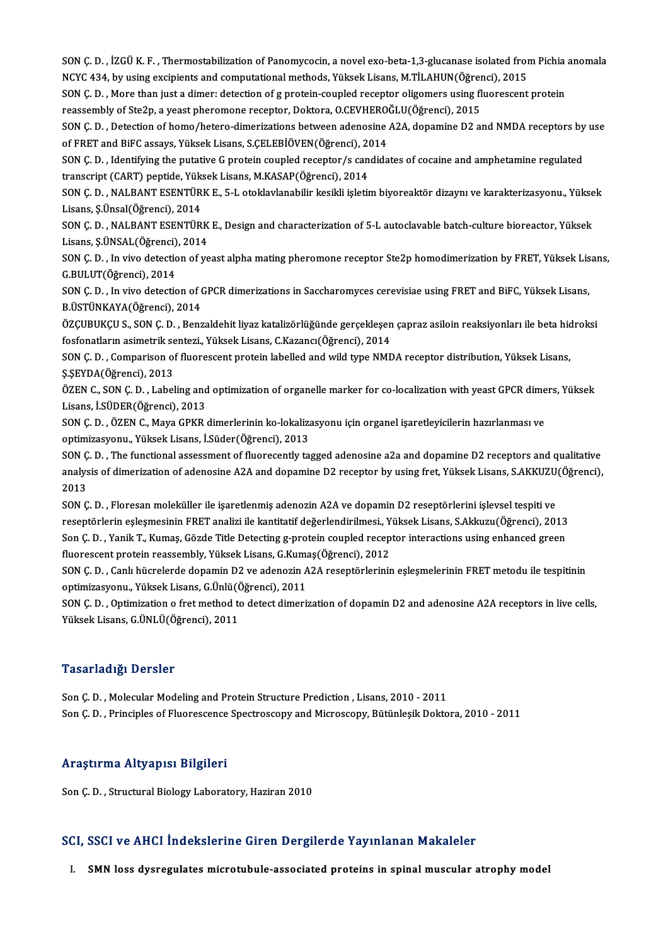SON Ç. D. , İZGÜ K. F. , Thermostabilization of Panomycocin, a novel exo-beta-1,3-glucanase isolated from Pichia anomala<br>NGVC 424 hy using excipients and computational methods. Vülxek Lisans, M.TU AHUN(Öğrensi), 2015 SON Ç. D. , İZGÜ K. F. , Thermostabilization of Panomycocin, a novel exo-beta-1,3-glucanase isolated from<br>NCYC 434, by using excipients and computational methods, Yüksek Lisans, M.TİLAHUN(Öğrenci), 2015<br>SON G. D. More than SON Ç. D. , İZGÜ K. F. , Thermostabilization of Panomycocin, a novel exo-beta-1,3-glucanase isolated from Pichia<br>NCYC 434, by using excipients and computational methods, Yüksek Lisans, M.TİLAHUN(Öğrenci), 2015<br>SON Ç. D. ,

NCYC 434, by using excipients and computational methods, Yüksek Lisans, M.TİLAHUN(Öğren<br>SON Ç. D. , More than just a dimer: detection of g protein-coupled receptor oligomers using fl<br>reassembly of Ste2p, a yeast pheromone SON Ç. D. , More than just a dimer: detection of g protein-coupled receptor oligomers using fluorescent protein<br>reassembly of Ste2p, a yeast pheromone receptor, Doktora, O.CEVHEROĞLU(Öğrenci), 2015<br>SON Ç. D. , Detection of

reassembly of Ste2p, a yeast pheromone receptor, Doktora, O.CEVHERO<br>SON Ç. D. , Detection of homo/hetero-dimerizations between adenosine<br>of FRET and BiFC assays, Yüksek Lisans, S.ÇELEBİÖVEN(Öğrenci), 2014<br>SON G. D. "Identi SON Ç. D. , Detection of homo/hetero-dimerizations between adenosine A2A, dopamine D2 and NMDA receptors by<br>of FRET and BiFC assays, Yüksek Lisans, S.ÇELEBİÖVEN(Öğrenci), 2014<br>SON Ç. D. , Identifying the putative G protein

of FRET and BiFC assays, Yüksek Lisans, S.ÇELEBİÖVEN(Öğrenci), 2014<br>SON Ç. D. , Identifying the putative G protein coupled receptor/s candidates of cocaine and amphetamine regulated<br>transcript (CART) peptide, Yüksek Lisans SON Ç. D. , Identifying the putative G protein coupled receptor/s candidates of cocaine and amphetamine regulated<br>transcript (CART) peptide, Yüksek Lisans, M.KASAP(Öğrenci), 2014<br>SON Ç. D. , NALBANT ESENTÜRK E., 5-L otokla

transcript (CART) peptide, Yüks<br>SON Ç. D. , NALBANT ESENTÜR<br>Lisans, Ş.Ünsal(Öğrenci), 2014<br>SON C. D., NALBANT ESENTÜR SON Ç. D. , NALBANT ESENTÜRK E., 5-L otoklavlanabilir kesikli işletim biyoreaktör dizaynı ve karakterizasyonu., Yükse<br>Lisans, Ş.Ünsal(Öğrenci), 2014<br>SON Ç. D. , NALBANT ESENTÜRK E., Design and characterization of 5-L autoc

Lisans, Ş.Ünsal(Öğrenci), 2014<br>SON Ç. D. , NALBANT ESENTÜRK<br>Lisans, Ş.ÜNSAL(Öğrenci), 2014<br>SON G. D. , In vive detection of ve SON Ç. D. , NALBANT ESENTÜRK E., Design and characterization of 5-L autoclavable batch-culture bioreactor, Yüksek<br>Lisans, Ş.ÜNSAL(Öğrenci), 2014<br>SON Ç. D. , In vivo detection of yeast alpha mating pheromone receptor Ste2p

Lisans, Ş.ÜNSAL(Öğrenci), 2014<br>SON Ç. D. , In vivo detection of y<br>G.BULUT(Öğrenci), 2014 SON Ç. D. , In vivo detection of yeast alpha mating pheromone receptor Ste2p homodimerization by FRET, Yüksek Lis<br>G.BULUT(Öğrenci), 2014<br>SON Ç. D. , In vivo detection of GPCR dimerizations in Saccharomyces cerevisiae using

SON Ç. D., In vivo detection of GPCR dimerizations in Saccharomyces cerevisiae using FRET and BiFC, Yüksek Lisans,<br>B.ÜSTÜNKAYA(Öğrenci), 2014 SON Ç. D. , In vivo detection of GPCR dimerizations in Saccharomyces cerevisiae using FRET and BiFC, Yüksek Lisans,<br>B.ÜSTÜNKAYA(Öğrenci), 2014<br>ÖZÇUBUKÇU S., SON Ç. D. , Benzaldehit liyaz katalizörlüğünde gerçekleşen çapraz

B.ÜSTÜNKAYA(Öğrenci), 2014<br>ÖZÇUBUKÇU S., SON Ç. D. , Benzaldehit liyaz katalizörlüğünde gerçekleşen<br>fosfonatların asimetrik sentezi., Yüksek Lisans, C.Kazancı(Öğrenci), 2014<br>SON G. D., Gemnarisan of fluoressent pretain lab ÖZÇUBUKÇU S., SON Ç. D. , Benzaldehit liyaz katalizörlüğünde gerçekleşen çapraz asiloin reaksiyonları ile beta hic<br>fosfonatların asimetrik sentezi., Yüksek Lisans, C.Kazancı(Öğrenci), 2014<br>SON Ç. D. , Comparison of fluores

fosfonatların asimetrik se<br>SON Ç. D. , Comparison ol<br>Ş.ŞEYDA(Öğrenci), 2013<br>ÖZEN C. SON C. D. , Label SON Ç. D. , Comparison of fluorescent protein labelled and wild type NMDA receptor distribution, Yüksek Lisans,<br>Ş.ŞEYDA(Öğrenci), 2013<br>ÖZEN C., SON Ç. D. , Labeling and optimization of organelle marker for co-localization

Ş.ŞEYDA(Öğrenci), 2013<br>ÖZEN C., SON Ç. D. , Labeling and optimization of organelle marker for co-localization with yeast GPCR dimers, Yüksek<br>Lisans, İ.SÜDER(Öğrenci), 2013 ÖZEN C., SON Ç. D. , Labeling and optimization of organelle marker for co-localization with yeast GPCR dime<br>Lisans, İ.SÜDER(Öğrenci), 2013<br>SON Ç. D. , ÖZEN C., Maya GPKR dimerlerinin ko-lokalizasyonu için organel işaretley

Lisans, İ.SÜDER(Öğrenci), 2013<br>SON Ç. D. , ÖZEN C., Maya GPKR dimerlerinin ko-lokaliza<br>optimizasyonu., Yüksek Lisans, İ.Süder(Öğrenci), 2013<br>SON G. D. - The functional assessment of fluoresently ta SON Ç. D. , ÖZEN C., Maya GPKR dimerlerinin ko-lokalizasyonu için organel işaretleyicilerin hazırlanması ve<br>optimizasyonu., Yüksek Lisans, İ.Süder(Öğrenci), 2013<br>SON Ç. D. , The functional assessment of fluorecently tagged

optimizasyonu., Yüksek Lisans, İ.Süder(Öğrenci), 2013<br>SON Ç. D. , The functional assessment of fluorecently tagged adenosine a2a and dopamine D2 receptors and qualitative<br>analysis of dimerization of adenosine A2A and dopam SON Ç<br>analys<br>2013<br>SON C analysis of dimerization of adenosine A2A and dopamine D2 receptor by using fret, Yüksek Lisans, S.AKKUZU<br>2013<br>SON Ç. D. , Floresan moleküller ile işaretlenmiş adenozin A2A ve dopamin D2 reseptörlerini işlevsel tespiti ve<br>

2013<br>SON Ç. D. , Floresan moleküller ile işaretlenmiş adenozin A2A ve dopamin D2 reseptörlerini işlevsel tespiti ve<br>reseptörlerin eşleşmesinin FRET analizi ile kantitatif değerlendirilmesi., Yüksek Lisans, S.Akkuzu(Öğrenci SON Ç. D. , Floresan moleküller ile işaretlenmiş adenozin A2A ve dopamin D2 reseptörlerini işlevsel tespiti ve<br>reseptörlerin eşleşmesinin FRET analizi ile kantitatif değerlendirilmesi., Yüksek Lisans, S.Akkuzu(Öğrenci), 20 reseptörlerin eşleşmesinin FRET analizi ile kantitatif değerlendirilmesi., Y<br>Son Ç. D. , Yanik T., Kumaş, Gözde Title Detecting g-protein coupled recep<br>fluorescent protein reassembly, Yüksek Lisans, G.Kumaş(Öğrenci), 2012<br> Son Ç. D. , Yanik T., Kumaş, Gözde Title Detecting g-protein coupled receptor interactions using enhanced green<br>fluorescent protein reassembly, Yüksek Lisans, G.Kumaş(Öğrenci), 2012<br>SON Ç. D. , Canlı hücrelerde dopamin D2

fluorescent protein reassembly, Yüksek Lisans, G.Kuma<br>SON Ç. D. , Canlı hücrelerde dopamin D2 ve adenozin A<br>optimizasyonu., Yüksek Lisans, G.Ünlü(Öğrenci), 2011<br>SON G. D. , Optimiration a fret method to detect dimerit SON Ç. D. , Canlı hücrelerde dopamin D2 ve adenozin A2A reseptörlerinin eşleşmelerinin FRET metodu ile tespitinin<br>optimizasyonu., Yüksek Lisans, G.Ünlü(Öğrenci), 2011<br>SON Ç. D. , Optimization o fret method to detect dimeri

optimizasyonu., Yüksek Lisans, G.Ünlü(Öğrenci), 2011<br>SON Ç. D. , Optimization o fret method to detect dimerization of dopamin D2 and adenosine A2A receptors in live cells,<br>Yüksek Lisans, G.ÜNLÜ(Öğrenci), 2011

# Tasarladığı Dersler

Son Ç.D., Molecular Modeling and Protein Structure Prediction, Lisans, 2010 - 2011

Son Ç.D., Principles of Fluorescence Spectroscopy and Microscopy, Bütünleşik Doktora, 2010 - 2011

# Araştırma Altyapısı Bilgileri

Son Ç.D., Structural Biology Laboratory, Haziran 2010

# SCI, SSCI ve AHCI İndekslerine Giren Dergilerde Yayınlanan Makaleler

I. SMN loss dysregulates microtubule-associated proteins in spinal muscular atrophy model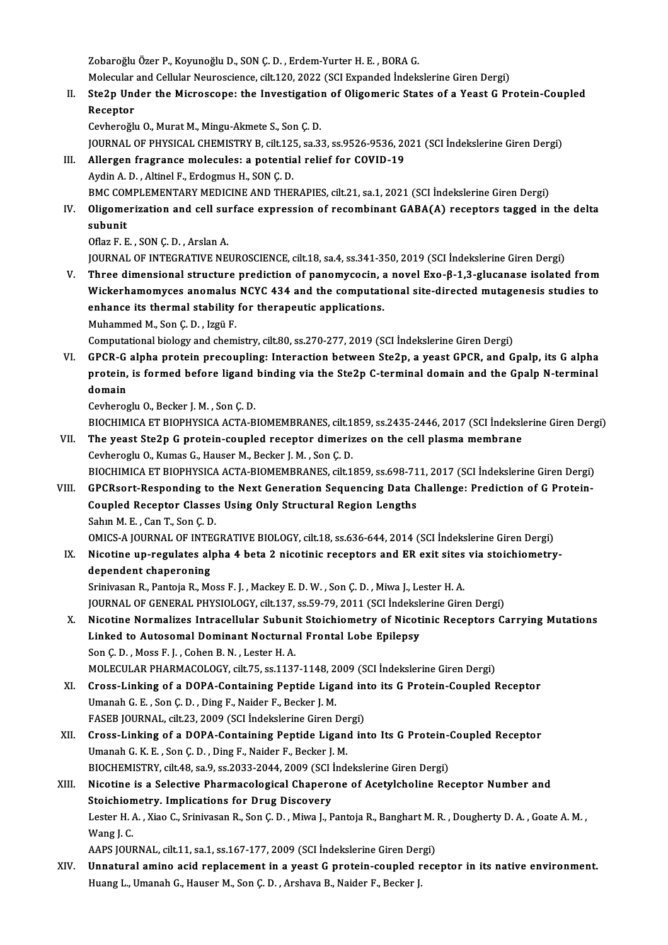Zobaroğlu Özer P., Koyunoğlu D., SON Ç. D., Erdem-Yurter H. E., BORA G. Zobaroğlu Özer P., Koyunoğlu D., SON Ç. D. , Erdem-Yurter H. E. , BORA G.<br>Molecular and Cellular Neuroscience, cilt.120, 2022 (SCI Expanded İndekslerine Giren Dergi)<br>Sta?n Under the Misrossono: the Investisation of Oliseme

- 
- Zobaroğlu Özer P., Koyunoğlu D., SON Ç. D. , Erdem-Yurter H. E. , BORA G.<br>Molecular and Cellular Neuroscience, cilt.120, 2022 (SCI Expanded İndekslerine Giren Dergi)<br>II. Ste2p Under the Microscope: the Investigation of Oli Molecular<br>Ste2p Une<br>Receptor<br>Cerbereĕl Ste2p Under the Microscope: the Investigation<br>Receptor<br>Cevheroğlu O., Murat M., Mingu-Akmete S., Son Ç. D.<br>JOUPNAL OE PHYSICAL CHEMISTRY R. 6:1+125, ca 3: Receptor<br>Cevheroğlu O., Murat M., Mingu-Akmete S., Son Ç. D.<br>JOURNAL OF PHYSICAL CHEMISTRY B, cilt.125, sa.33, ss.9526-9536, 2021 (SCI İndekslerine Giren Dergi)

Cevheroğlu O., Murat M., Mingu-Akmete S., Son Ç. D.<br>JOURNAL OF PHYSICAL CHEMISTRY B, cilt.125, sa.33, ss.9526-9536, 20<br>III. Allergen fragrance molecules: a potential relief for COVID-19<br>Aydin A.D., Altinel E. Erdozmus H. S **JOURNAL OF PHYSICAL CHEMISTRY B, cilt.12!<br>Allergen fragrance molecules: a potentia<br>Aydin A. D. , Altinel F., Erdogmus H., SON Ç. D.<br>PMC COMPLEMENTARY MEDICINE AND TURI** 

Aydin A. D. , Altinel F., Erdogmus H., SON Ç. D.<br>BMC COMPLEMENTARY MEDICINE AND THERAPIES, cilt.21, sa.1, 2021 (SCI İndekslerine Giren Dergi)

- Aydin A. D. , Altinel F., Erdogmus H., SON Ç. D.<br>BMC COMPLEMENTARY MEDICINE AND THERAPIES, cilt.21, sa.1, 2021 (SCI İndekslerine Giren Dergi)<br>IV. Oligomerization and cell surface expression of recombinant GABA(A) recep BMC CON<br>Oligome<br>subunit<br>Ofleg E. E Oligomerization and cell sul<br>subunit<br>Oflaz F. E. , SON Ç. D. , Arslan A.<br>JOUPNAL OF INTECRATIVE NEI subunit<br>Oflaz F. E. , SON Ç. D. , Arslan A.<br>JOURNAL OF INTEGRATIVE NEUROSCIENCE, cilt.18, sa.4, ss.341-350, 2019 (SCI İndekslerine Giren Dergi)
	-

Oflaz F. E., SON Ç. D., Arslan A.<br>JOURNAL OF INTEGRATIVE NEUROSCIENCE, cilt.18, sa.4, ss.341-350, 2019 (SCI İndekslerine Giren Dergi)<br>V. Three dimensional structure prediction of panomycocin, a novel Exo-β-1,3-glucanase i JOURNAL OF INTEGRATIVE NEUROSCIENCE, cilt.18, sa.4, ss.341-350, 2019 (SCI İndekslerine Giren Dergi)<br>Three dimensional structure prediction of panomycocin, a novel Exo-β-1,3-glucanase isolated from<br>Wickerhamomyces anomalus Three dimensional structure prediction of panomycocin, a<br>Wickerhamomyces anomalus NCYC 434 and the computation<br>enhance its thermal stability for therapeutic applications.<br>Muhammed M. Son C. D. Jazü E Wickerhamomyces anomalus NCYC 434 and the computational site-directed mutagenesis studies to enhance its thermal stability for therapeutic applications.<br>Muhammed M., Son C. D., Izgü F.

Computational biology and chemistry, cilt.80, ss.270-277, 2019 (SCI İndekslerine Giren Dergi)

- VI. GPCR-G alpha protein precoupling: Interaction between Ste2p, a yeast GPCR, and Gpalp, its G alpha Computational biology and chemistry, cilt.80, ss.270-277, 2019 (SCI İndekslerine Giren Dergi)<br>GPCR-G alpha protein precoupling: Interaction between Ste2p, a yeast GPCR, and Gpalp, its G alpha<br>protein, is formed before liga GPCR-G<br>protein,<br>domain protein, is formed before ligand<br>domain<br>Cevheroglu O., Becker J. M. , Son Ç. D.<br>PIOCHIMICA ET PIOPHYSICA ACTA P domain<br>Cevheroglu O., Becker J. M. , Son Ç. D.<br>BIOCHIMICA ET BIOPHYSICA ACTA-BIOMEMBRANES, cilt.1859, ss.2435-2446, 2017 (SCI İndekslerine Giren Dergi)<br>The veast Sta?n C protein sounled recenter dimerizes en the sell plasm
	-

- Cevheroglu O., Becker J. M. , Son Ç. D.<br>BIOCHIMICA ET BIOPHYSICA ACTA-BIOMEMBRANES, cilt.1859, ss.2435-2446, 2017 (SCI İndeksl<br>VII. The yeast Ste2p G protein-coupled receptor dimerizes on the cell plasma membrane<br>Cevherogl BIOCHIMICA ET BIOPHYSICA ACTA-BIOMEMBRANES, cilt.1<br>The yeast Ste2p G protein-coupled receptor dimeriz<br>Cevheroglu O., Kumas G., Hauser M., Becker J. M. , Son Ç. D.<br>PIOCHIMICA ET PIOPHYSICA ACTA PIOMEMPRANES, cilt.1 BIOCHIMICA ET BIOPHYSICA ACTA-BIOMEMBRANES, cilt.1859, ss.698-711, 2017 (SCI İndekslerine Giren Dergi) Cevheroglu O., Kumas G., Hauser M., Becker J. M., Son C. D.<br>BIOCHIMICA ET BIOPHYSICA ACTA-BIOMEMBRANES, cilt.1859, ss.698-711, 2017 (SCI İndekslerine Giren Dergi)<br>VIII. GPCRsort-Responding to the Next Generation Sequencing
- BIOCHIMICA ET BIOPHYSICA ACTA-BIOMEMBRANES, cilt.1859, ss.698-71<br>GPCRsort-Responding to the Next Generation Sequencing Data C<br>Coupled Receptor Classes Using Only Structural Region Lengths<br>Sahin M. E., Can.T. San.C.D. **GPCRsort-Responding to<br>Coupled Receptor Classe:**<br>Sahın M. E. , Can T., Son Ç. D.<br>OMICS A JOUPNAL OF INTEG Coupled Receptor Classes Using Only Structural Region Lengths<br>Sahın M. E. , Can T., Son Ç. D.<br>OMICS-A JOURNAL OF INTEGRATIVE BIOLOGY, cilt.18, ss.636-644, 2014 (SCI İndekslerine Giren Dergi)<br>Nisatine un reculates alpha 4 b

Sahın M. E., Can T., Son Ç. D.<br>
OMICS-A JOURNAL OF INTEGRATIVE BIOLOGY, cilt.18, ss.636-644, 2014 (SCI İndekslerine Giren Dergi)<br>
IX. Nicotine up-regulates alpha 4 beta 2 nicotinic receptors and ER exit sites via stoic OMICS-A JOURNAL OF INTE<br>Nicotine up-regulates aly<br>dependent chaperoning<br>Srinivesen B. Bontoio B. Me

Srinivasan R., Pantoja R., Moss F. J., Mackey E. D. W., Son C. D., Miwa J., Lester H. A. JOURNALOFGENERAL PHYSIOLOGY, cilt.137, ss.59-79,2011 (SCI İndekslerineGirenDergi) Srinivasan R., Pantoja R., Moss F. J. , Mackey E. D. W. , Son Ç. D. , Miwa J., Lester H. A.<br>JOURNAL OF GENERAL PHYSIOLOGY, cilt.137, ss.59-79, 2011 (SCI İndekslerine Giren Dergi)<br>X. Nicotine Normalizes Intracellular Subuni

- JOURNAL OF GENERAL PHYSIOLOGY, cilt.137, ss.59-79, 2011 (SCI İndeksl<br>Nicotine Normalizes Intracellular Subunit Stoichiometry of Nicot<br>Linked to Autosomal Dominant Nocturnal Frontal Lobe Epilepsy<br>Sen C.D., Mess E.J., Ceben Nicotine Normalizes Intracellular Subuni<br>Linked to Autosomal Dominant Nocturna<br>Son Ç. D. , Moss F. J. , Cohen B. N. , Lester H. A.<br>MOLECULAR RHARMACOLOCY silt 75 sc.1127 Linked to Autosomal Dominant Nocturnal Frontal Lobe Epilepsy<br>Son Ç. D. , Moss F. J. , Cohen B. N. , Lester H. A.<br>MOLECULAR PHARMACOLOGY, cilt.75, ss.1137-1148, 2009 (SCI İndekslerine Giren Dergi)<br>Cross Linking of a DOBA Co
- Son Ç. D. , Moss F. J. , Cohen B. N. , Lester H. A.<br>MOLECULAR PHARMACOLOGY, cilt.75, ss.1137-1148, 2009 (SCI İndekslerine Giren Dergi)<br>XI. Cross-Linking of a DOPA-Containing Peptide Ligand into its G Protein-Coupled Recept MOLECULAR PHARMACOLOGY, cilt.75, ss.1137-1148, 2<br>Cross-Linking of a DOPA-Containing Peptide Liga<br>Umanah G. E., Son Ç. D., Ding F., Naider F., Becker J. M. Cross-Linking of a DOPA-Containing Peptide Ligand in<br>Umanah G. E., Son Ç. D., Ding F., Naider F., Becker J. M.<br>FASEB JOURNAL, cilt.23, 2009 (SCI İndekslerine Giren Dergi)<br>Cross-Linking of a DOBA Containing Pentide Ligand i Umanah G. E. , Son Ç. D. , Ding F., Naider F., Becker J. M.<br>FASEB JOURNAL, cilt.23, 2009 (SCI İndekslerine Giren Dergi)<br>XII. Cross-Linking of a DOPA-Containing Peptide Ligand into Its G Protein-Coupled Receptor<br>Umanah G. K
- FASEB JOURNAL, cilt.23, 2009 (SCI İndekslerine Giren Dei<br>Cross-Linking of a DOPA-Containing Peptide Ligane<br>Umanah G. K. E., Son Ç. D., Ding F., Naider F., Becker J. M.<br>PLOCHEMISTRY, cilt.48, sa 9, sa 2022, 2044, 2009 (SCI Cross-Linking of a DOPA-Containing Peptide Ligand into Its G Protein-<br>Umanah G. K. E. , Son Ç. D. , Ding F., Naider F., Becker J. M.<br>BIOCHEMISTRY, cilt.48, sa.9, ss.2033-2044, 2009 (SCI İndekslerine Giren Dergi)<br>Nisatina i BIOCHEMISTRY, cilt48, sa.9, ss.2033-2044, 2009 (SCI Indekslerine Giren Dergi)

# Umanah G. K. E. , Son Ç. D. , Ding F., Naider F., Becker J. M.<br>BIOCHEMISTRY, cilt48, sa.9, ss.2033-2044, 2009 (SCI İndekslerine Giren Dergi)<br>XIII. Nicotine is a Selective Pharmacological Chaperone of Acetylcholine Receptor Nicotine is a Selective Pharmacological Chaperone of Acetylcholine Receptor Number and<br>Stoichiometry. Implications for Drug Discovery<br>Lester H. A. , Xiao C., Srinivasan R., Son Ç. D. , Miwa J., Pantoja R., Banghart M. R. , Stoichion<br>Lester H. A<br>Wang J. C.<br>AARS JOUT Lester H. A. , Xiao C., Srinivasan R., Son Ç. D. , Miwa J., Pantoja R., Banghart M. |<br>Wang J. C.<br>AAPS JOURNAL, cilt.11, sa.1, ss.167-177, 2009 (SCI İndekslerine Giren Dergi)<br>Unnatural amine asid replesement in a vesat C. p Wang J. C.<br>AAPS JOURNAL, cilt.11, sa.1, ss.167-177, 2009 (SCI Indekslerine Giren Dergi)<br>XIV. Unnatural amino acid replacement in a yeast G protein-coupled receptor in its native environment.

Huang L., Umanah G., Hauser M., Son Ç. D., Arshava B., Naider F., Becker J.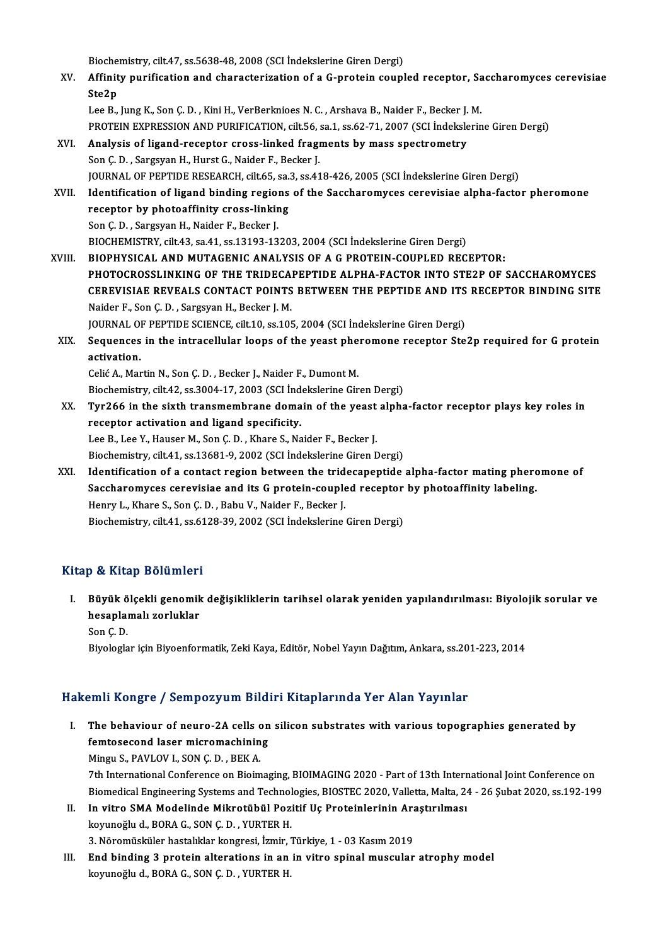Biochemistry, cilt.47, ss.5638-48, 2008 (SCI İndekslerine Giren Dergi)<br>Affinity nuvification and characterization of a Canatein counl

XV. Affinity purification and characterization of a G-protein coupled receptor, Saccharomyces cerevisiae Bioche<br>Affinit<br>Ste2p

Lee B., Jung K., Son C. D., Kini H., VerBerknioes N. C., Arshava B., Naider F., Becker J. M. PROTEIN EXPRESSION AND PURIFICATION, cilt.56, sa.1, ss.62-71, 2007 (SCI İndekslerine Giren Dergi)

XVI. Analysis of ligand-receptor cross-linked fragments bymass spectrometry Son Ç.D., Sargsyan H., Hurst G., Naider F., Becker J. JOURNALOF PEPTIDERESEARCH, cilt.65, sa.3, ss.418-426,2005 (SCI İndekslerineGirenDergi) Son Ç. D. , Sargsyan H., Hurst G., Naider F., Becker J.<br>JOURNAL OF PEPTIDE RESEARCH, cilt 65, sa.3, ss.418-426, 2005 (SCI İndekslerine Giren Dergi)<br>XVII. Identification of ligand binding regions of the Saccharomyces cerevi JOURNAL OF PEPTIDE RESEARCH, cilt.65, sa.<br>Identification of ligand binding regions<br>receptor by photoaffinity cross-linking<br>Sen G.D., Sergyvan H. Naider E. Beeker L

**Identification of ligand binding region<br>receptor by photoaffinity cross-linkir<br>Son Ç. D. , Sargsyan H., Naider F., Becker J.<br>PLOCHEMISTRY cilt 43, 89.41, 89.13103.13** receptor by photoaffinity cross-linking<br>Son Ç. D. , Sargsyan H., Naider F., Becker J.<br>BIOCHEMISTRY, cilt.43, sa.41, ss.13193-13203, 2004 (SCI İndekslerine Giren Dergi)

- XVIII. BIOPHYSICAL AND MUTAGENIC ANALYSIS OF A G PROTEIN-COUPLED RECEPTOR: PHOTOCROSSLINKING OF THE TRIDECAPEPTIDE ALPHA-FACTOR INTO STE2P OF SACCHAROMYCES BIOPHYSICAL AND MUTAGENIC ANALYSIS OF A G PROTEIN-COUPLED RECEPTOR:<br>PHOTOCROSSLINKING OF THE TRIDECAPEPTIDE ALPHA-FACTOR INTO STE2P OF SACCHAROMYCES<br>CEREVISIAE REVEALS CONTACT POINTS BETWEEN THE PEPTIDE AND ITS RECEPTOR BI PHOTOCROSSLINKING OF THE TRIDECA.<br>CEREVISIAE REVEALS CONTACT POINTS<br>Naider F., Son Ç. D. , Sargsyan H., Becker J. M.<br>JOUPNAL OF PEPTIDE SCIENCE sit 10, se 105 CEREVISIAE REVEALS CONTACT POINTS BETWEEN THE PEPTIDE AND ITS<br>Naider F., Son Ç. D. , Sargsyan H., Becker J. M.<br>JOURNAL OF PEPTIDE SCIENCE, cilt.10, ss.105, 2004 (SCI İndekslerine Giren Dergi)<br>Seguences in the intressllular Naider F., Son Ç. D. , Sargsyan H., Becker J. M.<br>JOURNAL OF PEPTIDE SCIENCE, cilt.10, ss.105, 2004 (SCI İndekslerine Giren Dergi)<br>XIX. Sequences in the intracellular loops of the yeast pheromone receptor Ste2p required
	- JOURNAL OF<br>Sequences<br>activation.<br>Colié A. Mor

Sequences in the intracellular loops of the yeast phe<br>activation.<br>Celić A., Martin N., Son Ç. D., Becker J., Naider F., Dumont M.<br>Bioshamistry, silt 42, ss 2004, 17, 2002. (SCI İndelylerine Gir activation.<br>Celić A., Martin N., Son Ç. D. , Becker J., Naider F., Dumont M.<br>Biochemistry, cilt.42, ss.3004-17, 2003 (SCI İndekslerine Giren Dergi)

XX. Tyr266 in the sixth transmembrane domain of the yeast alpha-factor receptor plays key roles in receptor activation and ligand specificity. Lee B., Lee Y., Hauser M., Son Ç. D., Khare S., Naider F., Becker J.

Biochemistry, cilt.41, ss.13681-9, 2002 (SCI İndekslerine Giren Dergi)

XXI. Identification of a contact region between the tridecapeptide alpha-factor mating pheromone of Biochemistry, cilt.41, ss.13681-9, 2002 (SCI İndekslerine Giren Dergi)<br>Identification of a contact region between the tridecapeptide alpha-factor mating phero<br>Saccharomyces cerevisiae and its G protein-coupled receptor by Identification of a contact region between the trid<br>Saccharomyces cerevisiae and its G protein-couple<br>Henry L., Khare S., Son Ç. D. , Babu V., Naider F., Becker J.<br>Piechamistry silt 41, se 6128, 29, 2002 (SCI İndekslerine Saccharomyces cerevisiae and its G protein-coupled receptor<br>Henry L., Khare S., Son Ç. D. , Babu V., Naider F., Becker J.<br>Biochemistry, cilt.41, ss.6128-39, 2002 (SCI İndekslerine Giren Dergi) Biochemistry, cilt.41, ss.6128-39, 2002 (SCI İndekslerine Giren Dergi)<br>Kitap & Kitap Bölümleri

I. Büyük ölçekli genomik değişikliklerin tarihsel olarak yeniden yapılandırılması: Biyolojik sorular ve p & kkup Bolumich<br>Büyük ölçekli genomik<br>hesaplamalı zorluklar<br>Sen G D hesaplamalı zorluklar<br>Son Ç. D.

Biyologlar için Biyoenformatik, Zeki Kaya, Editör, Nobel Yayın Dağıtım, Ankara, ss.201-223, 2014

# Hakemli Kongre / Sempozyum Bildiri Kitaplarında Yer Alan Yayınlar

- akemli Kongre / Sempozyum Bildiri Kitaplarında Yer Alan Yayınlar<br>I. The behaviour of neuro-2A cells on silicon substrates with various topographies generated by<br>fontososond laser misromashining The behaviour of neuro-2A cells on<br>femtosecond laser micromachining<br>Mingu S. BAVI OV L. SON C. D. BEV A The behaviour of neuro-2A cells c<br>femtosecond laser micromachinin<br>Mingu S., PAVLOV I., SON Ç. D. , BEK A.<br><sup>7th International Conference on Bioim</sub></sup> femtosecond laser micromachining<br>Mingu S., PAVLOV I., SON Ç. D. , BEK A.<br>7th International Conference on Bioimaging, BIOIMAGING 2020 - Part of 13th International Joint Conference on Mingu S., PAVLOV I., SON Ç. D. , BEK A.<br>7th International Conference on Bioimaging, BIOIMAGING 2020 - Part of 13th International Joint Conference on<br>Biomedical Engineering Systems and Technologies, BIOSTEC 2020, Valletta, 7th International Conference on Bioimaging, BIOIMAGING 2020 - Part of 13th International Engineering Systems and Technologies, BIOSTEC 2020, Valletta, Malta, 24<br>II. In vitro SMA Modelinde Mikrotübül Pozitif Uç Proteinlerin
- Biomedical Engineering Systems and Technol<br>In vitro SMA Modelinde Mikrotübül Poz:<br>koyunoğlu d., BORA G., SON Ç. D. , YURTER H.<br>2. Nänomüskülen bostalıklar konsresi, İsmir 5 II. In vitro SMA Modelinde Mikrotübül Pozitif Uç Proteinlerinin Araştırılması<br>koyunoğlu d., BORA G., SON Ç. D. , YURTER H.<br>3. Nöromüsküler hastalıklar kongresi, İzmir, Türkiye, 1 - 03 Kasım 2019 koyunoğlu d., BORA G., SON Ç. D. , YURTER H.<br>3. Nöromüsküler hastalıklar kongresi, İzmir, Türkiye, 1 - 03 Kasım 2019<br>III. End binding 3 protein alterations in an in vitro spinal muscular atrophy model<br>kovunoğlu d. BORA C.
- 3. Nöromüsküler hastalıklar kongresi, İzmir,<br><mark>End binding 3 protein alterations in an</mark><br>koyunoğlu d., BORA G., SON Ç. D. , YURTER H.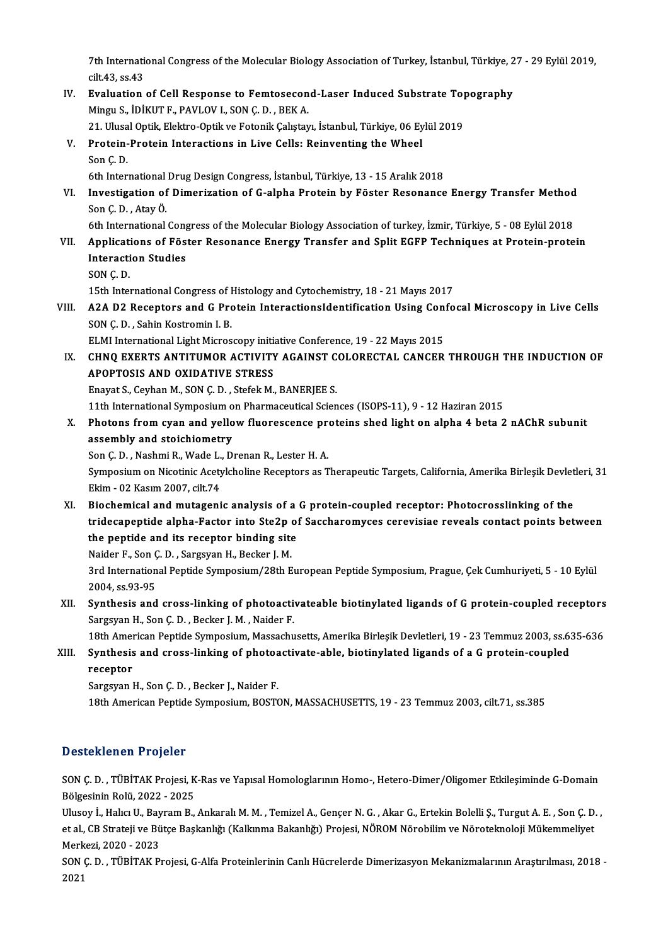7th International Congress of the Molecular Biology Association of Turkey, İstanbul, Türkiye, 27 - 29 Eylül 2019,<br>S<sup>ilt 43</sup> SS 43 7th Internation<br>cilt.43, ss.43<br>Evaluation Th International Congress of the Molecular Biology Association of Turkey, İstanbul, Türkiye, 2<br>cilt.43, ss.43<br>IV. Evaluation of Cell Response to Femtosecond-Laser Induced Substrate Topography<br>Mingu S. IDIVITE, BAVLOV L.SON

cilt.43, ss.43<br><mark>Evaluation of Cell Response to Femtosecon</mark><br>Mingu S., İDİKUT F., PAVLOV I., SON Ç. D. , BEK A.<br>21. Ulugal Optik, Flaktre Optik ve Fetenik Cakstav Evaluation of Cell Response to Femtosecond-Laser Induced Substrate To<sub>l</sub><br>Mingu S., İDİKUT F., PAVLOV I., SON Ç. D. , BEK A.<br>21. Ulusal Optik, Elektro-Optik ve Fotonik Çalıştayı, İstanbul, Türkiye, 06 Eylül 2019<br>Protoin Pro

- Mingu S., İDİKUT F., PAVLOV I., SON Ç. D. , BEK A.<br>21. Ulusal Optik, Elektro-Optik ve Fotonik Çalıştayı, İstanbul, Türkiye, 06 Ey<br>V. Protein-Protein Interactions in Live Cells: Reinventing the Wheel<br>Son C. D. 21. Ulusal Optik, Elektro-Optik ve Fotonik Çalıştayı, İstanbul, Türkiye, 06 Eylül 2019<br>Protein-Protein Interactions in Live Cells: Reinventing the Wheel<br>Son Ç. D.<br>6th International Drug Design Congress, İstanbul, Türkiye, Protein-Protein Interactions in Live Cells: Reinventing the Wheel<br>Son Ç. D.<br>6th International Drug Design Congress, İstanbul, Türkiye, 13 - 15 Aralık 2018<br>Investigation of Dimerigation of C. alpha Protein by Fögter Pesenan
- Son Ç. D.<br>6th International Drug Design Congress, İstanbul, Türkiye, 13 15 Aralık 2018<br>VI. Investigation of Dimerization of G-alpha Protein by Föster Resonance Energy Transfer Method<br>Son G. D. Atav Ö 6th International<br>Investigation of<br>Son Ç. D. , Atay Ö.<br>Eth International Investigation of Dimerization of G-alpha Protein by Föster Resonance Energy Transfer Method<br>Son Ç. D. , Atay Ö.<br>6th International Congress of the Molecular Biology Association of turkey, İzmir, Türkiye, 5 - 08 Eylül 2018<br>A

6th International Congress of the Molecular Biology Association of turkey, İzmir, Türkiye, 5 - 08 Eylül 2018

- Son Ç. D. , Atay Ö.<br>6th International Congress of the Molecular Biology Association of turkey, İzmir, Türkiye, 5 08 Eylül 2018<br>7. VII. Applications of Föster Resonance Energy Transfer and Split EGFP Techniques at Protein Interaction Studies<br>SON Ç. D.<br>15th International Congress of Histology and Cytochemistry, 18 - 21 Mayıs 2017<br>A2A D2 Besentars and C Bratein Internationaldertification Heing Confo
	- SONÇ.D.

SON Ç. D.<br>15th International Congress of Histology and Cytochemistry, 18 - 21 Mayıs 2017<br>VIII. A2A D2 Receptors and G Protein InteractionsIdentification Using Confocal Microscopy in Live Cells<br>SON C. D. Sobin Kestromin 15th International Congress of I<br>A2A D2 Receptors and G Pro<br>SON Ç. D. , Sahin Kostromin I. B.<br>ELM International Light Micros A2A D2 Receptors and G Protein InteractionsIdentification Using Conference, 19 - 22 Mayıs 2015<br>ELMI International Light Microscopy initiative Conference, 19 - 22 Mayıs 2015<br>CHNO EXERTS ANTITUMOR ACTIVITY ACAINST COLORECTAL

SON Ç. D. , Sahin Kostromin I. B.<br>ELMI International Light Microscopy initiative Conference, 19 - 22 Mayıs 2015<br>IX. CHNQ EXERTS AND OVIDATIVE STRESS ELMI International Light Microscopy initiative Conference, 19 - 22 Mayıs 2015<br>CHNQ EXERTS ANTITUMOR ACTIVITY AGAINST COLORECTAL CANCER<br>APOPTOSIS AND OXIDATIVE STRESS<br>Enayat S., Ceyhan M., SON Ç. D., Stefek M., BANERJEE S. CHNQ EXERTS ANTITUMOR ACTIVITY AGAINST C<br>APOPTOSIS AND OXIDATIVE STRESS<br>Enayat S., Ceyhan M., SON Ç. D. , Stefek M., BANERJEE S.<br>11th International Sumnesium on Pharmaceutical Scien

11th International Symposium on Pharmaceutical Sciences (ISOPS-11), 9 - 12 Haziran 2015

Enayat S., Ceyhan M., SON Ç. D. , Stefek M., BANERJEE S.<br>11th International Symposium on Pharmaceutical Sciences (ISOPS-11), 9 - 12 Haziran 2015<br>X. Photons from cyan and yellow fluorescence proteins shed light on alpha 4 b 11th International Symposium of<br>Photons from cyan and yello<br>assembly and stoichiometry<br>San C.D., Nashmi B. Wade L.D. Photons from cyan and yellow fluorescence pro<br>assembly and stoichiometry<br>Son Ç. D. , Nashmi R., Wade L., Drenan R., Lester H. A.<br>Symposium on Nisotinia Acatylcheline Becenters os T

assembly and stoichiometry<br>Son Ç. D. , Nashmi R., Wade L., Drenan R., Lester H. A.<br>Symposium on Nicotinic Acetylcholine Receptors as Therapeutic Targets, California, Amerika Birleşik Devletleri, 31<br>Flrim, 02 Kasım 2007, ci Son Ç. D. , Nashmi R., Wade L.<br>Symposium on Nicotinic Acety<br>Ekim - 02 Kasım 2007, cilt.74<br>Pieshemisel and mutageni

XI. Biochemical andmutagenic analysis of a G protein-coupled receptor: Photocrosslinking of the Ekim - 02 Kasım 2007, cilt.74<br>Biochemical and mutagenic analysis of a G protein-coupled receptor: Photocrosslinking of the<br>tridecapeptide alpha-Factor into Ste2p of Saccharomyces cerevisiae reveals contact points between<br>t Biochemical and mutagenic analysis of a<br>tridecapeptide alpha-Factor into Ste2p of<br>the peptide and its receptor binding site<br>Naidar E. Son G.D., Sargayan H. Becken L.M. tridecapeptide alpha-Factor into Ste2p<br>the peptide and its receptor binding site<br>Naider F., Son Ç. D. , Sargsyan H., Becker J. M.<br>2nd International Bantide Sumnesium (20th E

the peptide and its receptor binding site<br>Naider F., Son Ç. D. , Sargsyan H., Becker J. M.<br>3rd International Peptide Symposium/28th European Peptide Symposium, Prague, Çek Cumhuriyeti, 5 - 10 Eylül<br>2004. SS 92.95 Naider F., Son G.<br>3rd Internation<br>2004, ss.93-95<br>Synthosis and 3rd International Peptide Symposium/28th European Peptide Symposium, Prague, Çek Cumhuriyeti, 5 - 10 Eylül<br>2004, ss.93-95<br>XII. Synthesis and cross-linking of photoactivateable biotinylated ligands of G protein-coupled rece

2004, ss.93-95<br>Synthesis and cross-linking of photoacti<br>Sargsyan H., Son Ç. D. , Becker J. M. , Naider F.<br>18th Amerisan Bantide Symnesium Massachu Synthesis and cross-linking of photoactivateable biotinylated ligands of G protein-coupled receptors<br>Sargsyan H., Son Ç. D. , Becker J. M. , Naider F.<br>18th American Peptide Symposium, Massachusetts, Amerika Birleşik Devlet

Sargsyan H., Son Ç. D. , Becker J. M. , Naider F.<br>18th American Peptide Symposium, Massachusetts, Amerika Birleşik Devletleri, 19 - 23 Temmuz 2003, ss.6:<br>XIII. Synthesis and cross-linking of photoactivate-able, biotiny 18th American Peptide Symposium, Massachusetts, Amerika Birleşik Devletleri, 19 - 23 Temmuz 2003, ss.635-636<br>Synthesis and cross-linking of photoactivate-able, biotinylated ligands of a G protein-coupled<br>receptor<br>Sargsyan Synthesis and cross-linking of photoa<br>receptor<br>Sargsyan H., Son Ç. D. , Becker J., Naider F.<br>19th American Bontide Symnosium POSTG

18th American Peptide Symposium, BOSTON, MASSACHUSETTS, 19 - 23 Temmuz 2003, cilt.71, ss.385

# Desteklenen Projeler

Desteklenen Projeler<br>SON Ç. D. , TÜBİTAK Projesi, K-Ras ve Yapısal Homologlarının Homo-, Hetero-Dimer/Oligomer Etkileşiminde G-Domain<br>Bölgesinin Relü 2022, 2025 BölgesininRolü,2022 -2025 SON Ç. D. , TÜBİTAK Projesi, K-Ras ve Yapısal Homologlarının Homo-, Hetero-Dimer/Oligomer Etkileşiminde G-Domain<br>Bölgesinin Rolü, 2022 - 2025<br>Ulusoy İ., Halıcı U., Bayram B., Ankaralı M. M. , Temizel A., Gençer N. G. , Aka

Bölgesinin Rolü, 2022 - 2025<br>Ulusoy İ., Halıcı U., Bayram B., Ankaralı M. M. , Temizel A., Gençer N. G. , Akar G., Ertekin Bolelli Ş., Turgut A. E. , Son Ç. D.<br>et al., CB Strateji ve Bütçe Başkanlığı (Kalkınma Bakanlığı) P Ulusoy İ., Halıcı U., Bay<br>et al., CB Strateji ve Bü<br>Merkezi, 2020 - 2023<br>SON G. D., TÜBİTAK B et al., CB Strateji ve Bütçe Başkanlığı (Kalkınma Bakanlığı) Projesi, NÖROM Nörobilim ve Nöroteknoloji Mükemmeliyet<br>Merkezi, 2020 - 2023<br>SON Ç. D. , TÜBİTAK Projesi, G-Alfa Proteinlerinin Canlı Hücrelerde Dimerizasyon Meka

Merk<br>SON<br>2021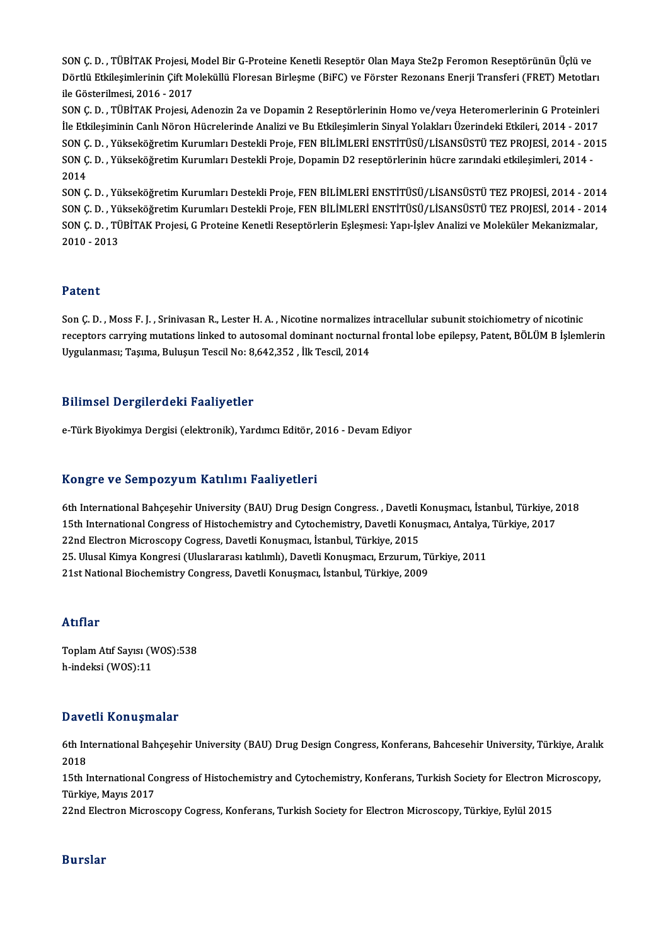SON Ç. D. , TÜBİTAK Projesi, Model Bir G-Proteine Kenetli Reseptör Olan Maya Ste2p Feromon Reseptörünün Üçlü ve<br>Dörtlü Etkilesimlerinin Cift Moleküllü Elenesen Birlesme (BiEC) ve Försten Berenane Enerii Transferi (EBET) Me SON Ç. D. , TÜBİTAK Projesi, Model Bir G-Proteine Kenetli Reseptör Olan Maya Ste2p Feromon Reseptörünün Üçlü ve<br>Dörtlü Etkileşimlerinin Çift Moleküllü Floresan Birleşme (BiFC) ve Förster Rezonans Enerji Transferi (FRET) Me SON Ç. D. , TÜBİTAK Projesi, M<br>Dörtlü Etkileşimlerinin Çift Me<br>ile Gösterilmesi, 2016 - 2017<br>SON G. D. - TÜBİTAK Projesi Dörtlü Etkileşimlerinin Çift Moleküllü Floresan Birleşme (BiFC) ve Förster Rezonans Enerji Transferi (FRET) Metotları<br>ile Gösterilmesi, 2016 - 2017<br>SON Ç. D. , TÜBİTAK Projesi, Adenozin 2a ve Dopamin 2 Reseptörlerinin Homo

ile Gösterilmesi, 2016 - 2017<br>SON Ç. D. , TÜBİTAK Projesi, Adenozin 2a ve Dopamin 2 Reseptörlerinin Homo ve/veya Heteromerlerinin G Proteinleri<br>İle Etkileşiminin Canlı Nöron Hücrelerinde Analizi ve Bu Etkileşimlerin Sinyal SON Ç. D. , TÜBİTAK Projesi, Adenozin 2a ve Dopamin 2 Reseptörlerinin Homo ve/veya Heteromerlerinin G Proteinleri<br>İle Etkileşiminin Canlı Nöron Hücrelerinde Analizi ve Bu Etkileşimlerin Sinyal Yolakları Üzerindeki Etkileri İle Etkileşiminin Canlı Nöron Hücrelerinde Analizi ve Bu Etkileşimlerin Sinyal Yolakları Üzerindeki Etkileri, 2014 - 2017<br>SON Ç. D. , Yükseköğretim Kurumları Destekli Proje, FEN BİLİMLERİ ENSTİTÜSÜ/LİSANSÜSTÜ TEZ PROJESİ, SON Ç<br>SON Ç<br>2014<br>SON Ç SON Ç. D. , Yükseköğretim Kurumları Destekli Proje, Dopamin D2 reseptörlerinin hücre zarındaki etkileşimleri, 2014 -<br>2014<br>SON Ç. D. , Yükseköğretim Kurumları Destekli Proje, FEN BİLİMLERİ ENSTİTÜSÜ/LİSANSÜSTÜ TEZ PROJESİ,

2014<br>SON Ç. D. , Yükseköğretim Kurumları Destekli Proje, FEN BİLİMLERİ ENSTİTÜSÜ/LİSANSÜSTÜ TEZ PROJESİ, 2014 - 2014<br>SON Ç. D. , Yükseköğretim Kurumları Destekli Proje, FEN BİLİMLERİ ENSTİTÜSÜ/LİSANSÜSTÜ TEZ PROJESİ, 2014 SON Ç. D. , Yükseköğretim Kurumları Destekli Proje, FEN BİLİMLERİ ENSTİTÜSÜ/LİSANSÜSTÜ TEZ PROJESİ, 2014 - 201<br>SON Ç. D. , Yükseköğretim Kurumları Destekli Proje, FEN BİLİMLERİ ENSTİTÜSÜ/LİSANSÜSTÜ TEZ PROJESİ, 2014 - 201<br> SON Ç. D. , Yükseköğretim Kurumları Destekli Proje, FEN BİLİMLERİ ENSTİTÜSÜ/LİSANSÜSTÜ TEZ PROJESİ, 2014 - 2014<br>SON Ç. D. , TÜBİTAK Projesi, G Proteine Kenetli Reseptörlerin Eşleşmesi: Yapı-İşlev Analizi ve Moleküler Mekan

## Patent

Son Ç. D., Moss F. J., Srinivasan R., Lester H. A., Nicotine normalizes intracellular subunit stoichiometry of nicotinic r deelre<br>Son Ç. D. , Moss F. J. , Srinivasan R., Lester H. A. , Nicotine normalizes intracellular subunit stoichiometry of nicotinic<br>receptors carrying mutations linked to autosomal dominant nocturnal frontal lobe epilepsy Son Ç. D. , Moss F. J. , Srinivasan R., Lester H. A. , Nicotine normalizes<br>receptors carrying mutations linked to autosomal dominant nocturn:<br>Uygulanması; Taşıma, Buluşun Tescil No: 8,642,352 , İlk Tescil, 2014 Uygulanması; Taşıma, Buluşun Tescil No: 8,642,352 , İlk Tescil, 2014<br>Bilimsel Dergilerdeki Faaliyetler

e-Türk Biyokimya Dergisi (elektronik), Yardımcı Editör, 2016 - Devam Ediyor

## Kongre ve SempozyumKatılımı Faaliyetleri

6th International Bahçeşehir University (BAU) Drug Design Congress., Davetli Konuşmacı, İstanbul, Türkiye, 2018 15th International Bahçeşehir University (BAU) Drug Design Congress. , Davetli Konuşmacı, İstanbul, Türkiye, 2<br>15th International Congress of Histochemistry and Cytochemistry, Davetli Konuşmacı, Antalya, Türkiye, 2017<br>22nd 6th International Bahçeşehir University (BAU) Drug Design Congress. , Davetli I<br>15th International Congress of Histochemistry and Cytochemistry, Davetli Konu<br>22nd Electron Microscopy Cogress, Davetli Konuşmacı, İstanbul, T 15th International Congress of Histochemistry and Cytochemistry, Davetli Konuşmacı, Antalya,<br>22nd Electron Microscopy Cogress, Davetli Konuşmacı, İstanbul, Türkiye, 2015<br>25. Ulusal Kimya Kongresi (Uluslararası katılımlı), 22nd Electron Microscopy Cogress, Davetli Konuşmacı, İstanbul, Türkiye, 2015<br>25. Ulusal Kimya Kongresi (Uluslararası katılımlı), Davetli Konuşmacı, Erzurum, Türkiye, 2011<br>21st National Biochemistry Congress, Davetli Konuşm

## Atıflar

ToplamAtıf Sayısı (WOS):538 h-indeksi (WOS):11

## Davetli Konuşmalar

**Davetli Konuşmalar**<br>6th International Bahçeşehir University (BAU) Drug Design Congress, Konferans, Bahcesehir University, Türkiye, Aralık<br>2018 اس 15<br>1018<br>15th 6th International Bahçeşehir University (BAU) Drug Design Congress, Konferans, Bahcesehir University, Türkiye, Aralık<br>2018<br>15th International Congress of Histochemistry and Cytochemistry, Konferans, Turkish Society for Ele 2018<br>15th International Co<br>Türkiye, Mayıs 2017<br>22nd Elestren Misres 15th International Congress of Histochemistry and Cytochemistry, Konferans, Turkish Society for Electron M:<br>Türkiye, Mayıs 2017<br>22nd Electron Microscopy Cogress, Konferans, Turkish Society for Electron Microscopy, Türkiye, 22nd Electron Microscopy Cogress, Konferans, Turkish Society for Electron Microscopy, Türkiye, Eylül 2015<br>Burslar